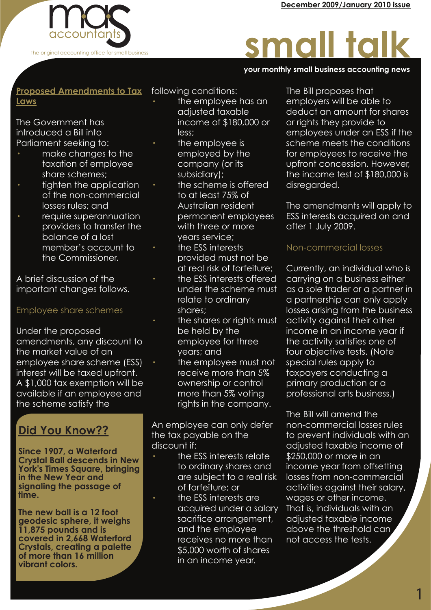

# small talk

#### **your monthly small business accounting news your monthly small business accounting news your monthly small business accounting news**

#### **Proposed Amendments to Tax Laws**

The Government has introduced a Bill into Parliament seeking to:

- · make changes to the taxation of employee share schemes;
- tighten the application of the non-commercial losses rules; and
- require superannuation providers to transfer the balance of a lost member's account to the Commissioner.

A brief discussion of the important changes follows.

#### Employee share schemes

Under the proposed amendments, any discount to the market value of an employee share scheme (ESS) interest will be taxed upfront. A \$1,000 tax exemption will be available if an employee and the scheme satisfy the

### **Did You Know??**

**Since 1907, a Waterford Crystal Ball descends in New York's Times Square, bringing in the New Year and signaling the passage of time.**

**The new ball is a 12 foot geodesic sphere, it weighs 11,875 pounds and is covered in 2,668 Waterford Crystals, creating a palette of more than 16 million vibrant colors.**

following conditions:

- · the employee has an adjusted taxable income of \$180,000 or less;
- the employee is employed by the company (or its subsidiary);
- the scheme is offered to at least 75% of Australian resident permanent employees with three or more years service;
- · the ESS interests provided must not be at real risk of forfeiture;
- the ESS interests offered under the scheme must relate to ordinary shares;
- the shares or rights must be held by the employee for three years; and
	- the employee must not receive more than 5% ownership or control more than 5% voting rights in the company.

An employee can only defer the tax payable on the discount if:

- · the ESS interests relate to ordinary shares and are subject to a real risk of forfeiture; or
- · the ESS interests are acquired under a salary sacrifice arrangement, and the employee receives no more than \$5,000 worth of shares in an income year.

The Bill proposes that employers will be able to deduct an amount for shares or rights they provide to employees under an ESS if the scheme meets the conditions for employees to receive the upfront concession. However, the income test of \$180,000 is disregarded.

The amendments will apply to ESS interests acquired on and after 1 July 2009.

#### Non-commercial losses

Currently, an individual who is carrying on a business either as a sole trader or a partner in a partnership can only apply losses arising from the business activity against their other income in an income year if the activity satisfies one of four objective tests. (Note special rules apply to taxpayers conducting a primary production or a professional arts business.)

The Bill will amend the non-commercial losses rules to prevent individuals with an adjusted taxable income of \$250,000 or more in an income year from offsetting losses from non-commercial activities against their salary, wages or other income. That is, individuals with an adjusted taxable income above the threshold can not access the tests.

1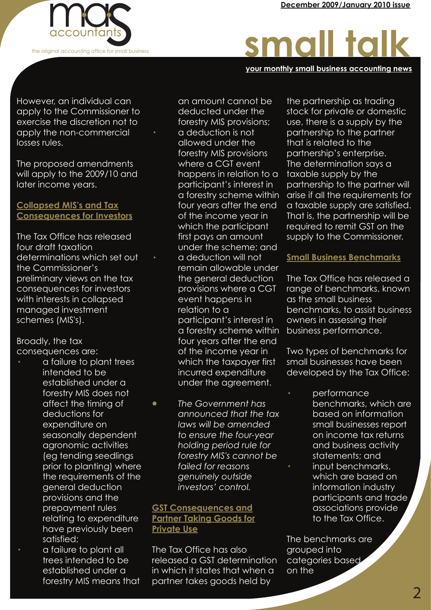

# small talk

**your monthly small business accounting news your monthly small business accounting news your monthly small business accounting news**

However, an individual can apply to the Commissioner to exercise the discretion not to apply the non-commercial losses rules.

The proposed amendments will apply to the 2009/10 and later income years.

#### **Collapsed MIS's and Tax Consequences for Investors**

The Tax Office has released four draft taxation determinations which set out the Commissioner's preliminary views on the tax consequences for investors with interests in collapsed managed investment schemes (MIS's).

Broadly, the tax consequences are:

- · a failure to plant trees intended to be established under a forestry MIS does not affect the timing of deductions for expenditure on seasonally dependent agronomic activities (eg tending seedlings prior to planting) where the requirements of the general deduction provisions and the prepayment rules relating to expenditure have previously been satisfied;
	- a failure to plant all trees intended to be established under a forestry MIS means that

 an amount cannot be deducted under the forestry MIS provisions; · a deduction is not allowed under the forestry MIS provisions where a CGT event happens in relation to a participant's interest in a forestry scheme within four years after the end of the income year in which the participant first pays an amount under the scheme; and a deduction will not remain allowable under the general deduction provisions where a CGT event happens in relation to a participant's interest in a forestry scheme within four years after the end of the income year in which the taxpayer first incurred expenditure under the agreement.

· *The Government has announced that the tax laws will be amended to ensure the four-year holding period rule for forestry MIS's cannot be failed for reasons genuinely outside investors' control.*

#### **GST Consequences and Partner Taking Goods for Private Use**

The Tax Office has also released a GST determination in which it states that when a partner takes goods held by

the partnership as trading stock for private or domestic use, there is a supply by the partnership to the partner that is related to the partnership's enterprise. The determination says a taxable supply by the partnership to the partner will arise if all the requirements for a taxable supply are satisfied. That is, the partnership will be required to remit GST on the supply to the Commissioner.

#### **Small Business Benchmarks**

The Tax Office has released a range of benchmarks, known as the small business benchmarks, to assist business owners in assessing their business performance.

Two types of benchmarks for small businesses have been developed by the Tax Office:

· performance benchmarks, which are based on information small businesses report on income tax returns and business activity statements; and · input benchmarks, which are based on information industry participants and trade associations provide to the Tax Office.

The benchmarks are grouped into categories based on the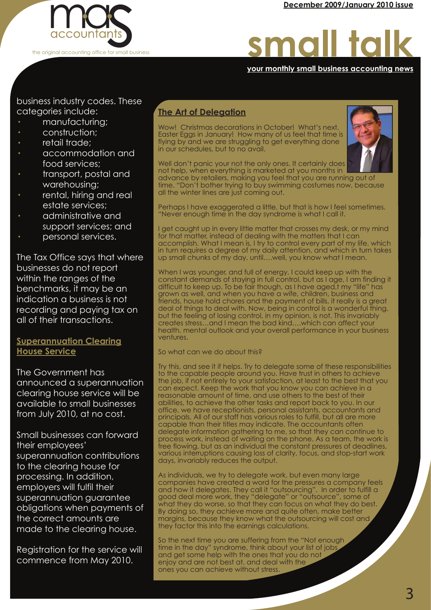

## small talk

#### **your monthly small business accounting news your monthly small business accounting news your monthly small business accounting news**

business industry codes. These categories include:

- manufacturing;
- construction:
- retail trade;
- · accommodation and food services;
- · transport, postal and warehousing;
- rental, hiring and real estate services;
- · administrative and support services; and
- personal services.

The Tax Office says that where businesses do not report within the ranges of the benchmarks, it may be an indication a business is not recording and paying tax on all of their transactions.

#### **Superannuation Clearing House Service**

The Government has announced a superannuation clearing house service will be available to small businesses from July 2010, at no cost.

Small businesses can forward their employees' superannuation contributions to the clearing house for processing. In addition, employers will fulfil their superannuation guarantee obligations when payments of the correct amounts are made to the clearing house.

Registration for the service will commence from May 2010.

#### **The Art of Delegation**

Wow! Christmas decorations in October! What's next, Easter Eggs in January! How many of us feel that time is flying by and we are struggling to get everything done in our schedules, but to no avail.



Well don't panic your not the only ones. It certainly does not help, when everything is marketed at you months in

advance by retailers, making you feel that you are running out of time. "Don't bother trying to buy swimming costumes now, because all the winter lines are just coming out.

Perhaps I have exaggerated a little, but that is how I feel sometimes. "Never enough time in the day syndrome is what I call it.

I get caught up in every little matter that crosses my desk, or my mind for that matter, instead of dealing with the matters that I can accomplish. What I mean is, I try to control every part of my life, which in turn requires a degree of my daily attention, and which in turn takes up small chunks of my day, until....well, you know what I mean.

When I was younger, and full of energy, I could keep up with the constant demands of staying in full control, but as I age, I am finding it difficult to keep up. To be fair though, as I have aged,t my "life" has grown as well, and when you have a wife, children, business and friends, house hold chores and the payment of bills, it really is a great deal of things to deal with. Now, being in control is a wonderful thing, but the feeling of losing control, in my opinion, is not. This invariably creates stress…and I mean the bad kind….which can affect your health, mental outlook and your overall performance in your business ventures.

So what can we do about this?

Try this, and see it if helps. Try to delegate some of these responsibilities to the capable people around you. Have trust in others to achieve the job, if not entirely to your satisfaction, at least to the best that you can expect. Keep the work that you know you can achieve in a reasonable amount of time, and use others to the best of their abilities, to achieve the other tasks and report back to you. In our office, we have receptionists, personal assistants, accountants and principals. All of our staff has various roles to fulfill, but all are more capable than their titles may indicate. The accountants often delegate information gathering to me, so that they can continue to process work, instead of waiting on the phone. As a team, the work is free flowing, but as an individual the constant pressures of deadlines, various interruptions causing loss of clarity, focus, and stop-start work days, invariably reduces the output.

As individuals, we try to delegate work, but even many large companies have created a word for the pressures a company feels and how it delegates. They call it "outsourcing". In order to fulfill a good deal more work, they "delegate" or "outsource", some of what they do worse, so that they can focus on what they do best. By doing so, they achieve more and quite often, make better margins, because they know what the outsourcing will cost and they factor this into the earnings calculations.

So the next time you are suffering from the "Not enough time in the day" syndrome, think about your list of jobs and get some help with the ones that you do not enjoy and are not best at, and deal with the ones you can achieve without stress.